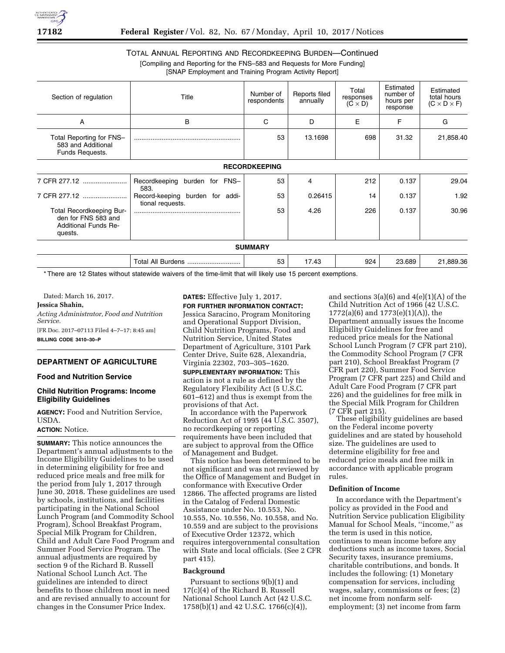

# TOTAL ANNUAL REPORTING AND RECORDKEEPING BURDEN—Continued [Compiling and Reporting for the FNS–583 and Requests for More Funding]

[SNAP Employment and Training Program Activity Report]

| Section of regulation                                                                            | Title                                               | Number of<br>respondents | Reports filed<br>annually | Total<br>responses<br>$(C \times D)$ | Estimated<br>number of<br>hours per<br>response | Estimated<br>total hours<br>$(C \times D \times F)$<br>G |  |
|--------------------------------------------------------------------------------------------------|-----------------------------------------------------|--------------------------|---------------------------|--------------------------------------|-------------------------------------------------|----------------------------------------------------------|--|
| Α                                                                                                | в                                                   | C                        | D                         | E                                    | F                                               |                                                          |  |
| Total Reporting for FNS-<br>583 and Additional<br>Funds Requests.                                |                                                     | 53                       | 13.1698                   | 698                                  | 31.32                                           | 21,858.40                                                |  |
|                                                                                                  |                                                     | <b>RECORDKEEPING</b>     |                           |                                      |                                                 |                                                          |  |
| 7 CFR 277.12                                                                                     | Recordkeeping<br>burden for FNS-<br>583.            | 53                       | 4                         | 212                                  | 0.137                                           | 29.04                                                    |  |
| 7 CFR 277.12                                                                                     | Record-keeping burden for addi-<br>tional requests. | 53                       | 0.26415                   | 14                                   | 0.137                                           | 1.92                                                     |  |
| <b>Total Recordkeeping Bur-</b><br>den for FNS 583 and<br><b>Additional Funds Re-</b><br>quests. |                                                     | 53                       | 4.26                      | 226                                  | 0.137                                           | 30.96                                                    |  |
|                                                                                                  |                                                     | <b>SUMMARY</b>           |                           |                                      |                                                 |                                                          |  |
|                                                                                                  | Total All Burdens                                   | 53                       | 17.43                     | 924                                  | 23.689                                          | 21,889.36                                                |  |

\* There are 12 States without statewide waivers of the time-limit that will likely use 15 percent exemptions.

Dated: March 16, 2017.

## **Jessica Shahin,**

*Acting Administrator, Food and Nutrition Service.*  [FR Doc. 2017–07113 Filed 4–7–17; 8:45 am] **BILLING CODE 3410–30–P** 

## **DEPARTMENT OF AGRICULTURE**

#### **Food and Nutrition Service**

### **Child Nutrition Programs: Income Eligibility Guidelines**

**AGENCY:** Food and Nutrition Service, USDA.

# **ACTION:** Notice.

**SUMMARY:** This notice announces the Department's annual adjustments to the Income Eligibility Guidelines to be used in determining eligibility for free and reduced price meals and free milk for the period from July 1, 2017 through June 30, 2018. These guidelines are used by schools, institutions, and facilities participating in the National School Lunch Program (and Commodity School Program), School Breakfast Program, Special Milk Program for Children, Child and Adult Care Food Program and Summer Food Service Program. The annual adjustments are required by section 9 of the Richard B. Russell National School Lunch Act. The guidelines are intended to direct benefits to those children most in need and are revised annually to account for changes in the Consumer Price Index.

# **DATES:** Effective July 1, 2017.

**FOR FURTHER INFORMATION CONTACT:**  Jessica Saracino, Program Monitoring and Operational Support Division, Child Nutrition Programs, Food and Nutrition Service, United States Department of Agriculture, 3101 Park Center Drive, Suite 628, Alexandria, Virginia 22302, 703–305–1620.

**SUPPLEMENTARY INFORMATION:** This action is not a rule as defined by the Regulatory Flexibility Act (5 U.S.C. 601–612) and thus is exempt from the provisions of that Act.

In accordance with the Paperwork Reduction Act of 1995 (44 U.S.C. 3507), no recordkeeping or reporting requirements have been included that are subject to approval from the Office of Management and Budget.

This notice has been determined to be not significant and was not reviewed by the Office of Management and Budget in conformance with Executive Order 12866. The affected programs are listed in the Catalog of Federal Domestic Assistance under No. 10.553, No. 10.555, No. 10.556, No. 10.558, and No. 10.559 and are subject to the provisions of Executive Order 12372, which requires intergovernmental consultation with State and local officials. (See 2 CFR part 415).

#### **Background**

Pursuant to sections 9(b)(1) and 17(c)(4) of the Richard B. Russell National School Lunch Act (42 U.S.C. 1758(b)(1) and 42 U.S.C. 1766(c)(4)),

and sections  $3(a)(6)$  and  $4(e)(1)(A)$  of the Child Nutrition Act of 1966 (42 U.S.C. 1772(a)(6) and 1773(e)(1)(A)), the Department annually issues the Income Eligibility Guidelines for free and reduced price meals for the National School Lunch Program (7 CFR part 210), the Commodity School Program (7 CFR part 210), School Breakfast Program (7 CFR part 220), Summer Food Service Program (7 CFR part 225) and Child and Adult Care Food Program (7 CFR part 226) and the guidelines for free milk in the Special Milk Program for Children (7 CFR part 215).

These eligibility guidelines are based on the Federal income poverty guidelines and are stated by household size. The guidelines are used to determine eligibility for free and reduced price meals and free milk in accordance with applicable program rules.

#### **Definition of Income**

In accordance with the Department's policy as provided in the Food and Nutrition Service publication Eligibility Manual for School Meals, ''income,'' as the term is used in this notice, continues to mean income before any deductions such as income taxes, Social Security taxes, insurance premiums, charitable contributions, and bonds. It includes the following: (1) Monetary compensation for services, including wages, salary, commissions or fees; (2) net income from nonfarm selfemployment; (3) net income from farm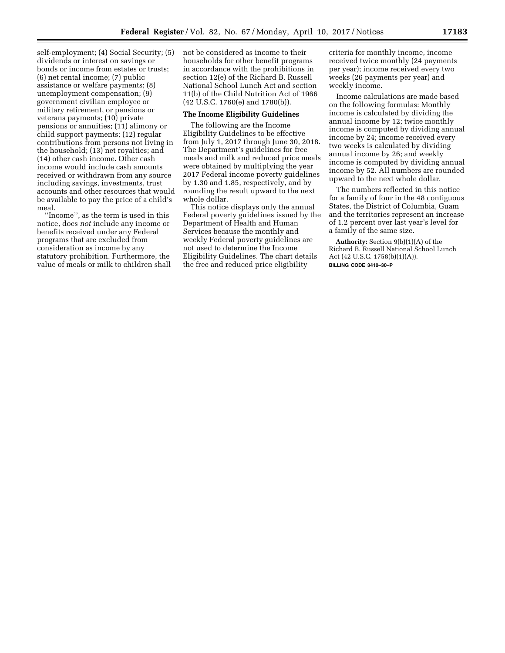self-employment; (4) Social Security; (5) dividends or interest on savings or bonds or income from estates or trusts; (6) net rental income; (7) public assistance or welfare payments; (8) unemployment compensation; (9) government civilian employee or military retirement, or pensions or veterans payments; (10) private pensions or annuities; (11) alimony or child support payments; (12) regular contributions from persons not living in the household; (13) net royalties; and (14) other cash income. Other cash income would include cash amounts received or withdrawn from any source including savings, investments, trust accounts and other resources that would be available to pay the price of a child's meal.

''Income'', as the term is used in this notice, does *not* include any income or benefits received under any Federal programs that are excluded from consideration as income by any statutory prohibition. Furthermore, the value of meals or milk to children shall not be considered as income to their households for other benefit programs in accordance with the prohibitions in section 12(e) of the Richard B. Russell National School Lunch Act and section 11(b) of the Child Nutrition Act of 1966 (42 U.S.C. 1760(e) and 1780(b)).

## **The Income Eligibility Guidelines**

The following are the Income Eligibility Guidelines to be effective from July 1, 2017 through June 30, 2018. The Department's guidelines for free meals and milk and reduced price meals were obtained by multiplying the year 2017 Federal income poverty guidelines by 1.30 and 1.85, respectively, and by rounding the result upward to the next whole dollar.

This notice displays only the annual Federal poverty guidelines issued by the Department of Health and Human Services because the monthly and weekly Federal poverty guidelines are not used to determine the Income Eligibility Guidelines. The chart details the free and reduced price eligibility

criteria for monthly income, income received twice monthly (24 payments per year); income received every two weeks (26 payments per year) and weekly income.

Income calculations are made based on the following formulas: Monthly income is calculated by dividing the annual income by 12; twice monthly income is computed by dividing annual income by 24; income received every two weeks is calculated by dividing annual income by 26; and weekly income is computed by dividing annual income by 52. All numbers are rounded upward to the next whole dollar.

The numbers reflected in this notice for a family of four in the 48 contiguous States, the District of Columbia, Guam and the territories represent an increase of 1.2 percent over last year's level for a family of the same size.

**Authority:** Section 9(b)(1)(A) of the Richard B. Russell National School Lunch Act (42 U.S.C. 1758(b)(1)(A)). **BILLING CODE 3410–30–P**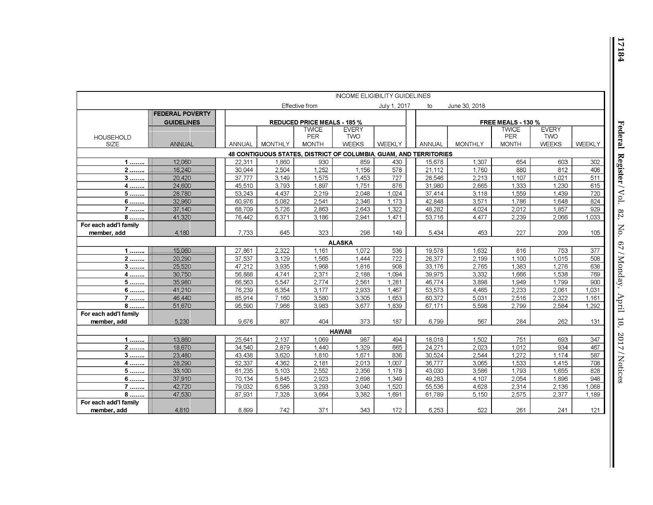|                                                                   | <b>INCOME ELIGIBILITY GUIDELINES</b> |                                    |                |                     |                            |                |  |                           |                |                     |                            |            |
|-------------------------------------------------------------------|--------------------------------------|------------------------------------|----------------|---------------------|----------------------------|----------------|--|---------------------------|----------------|---------------------|----------------------------|------------|
|                                                                   |                                      |                                    |                | Effective from      |                            | July 1, 2017   |  | to                        | June 30, 2018  |                     |                            |            |
|                                                                   | <b>FEDERAL POVERTY</b>               |                                    |                |                     |                            |                |  |                           |                |                     |                            |            |
|                                                                   | <b>GUIDELINES</b>                    | <b>REDUCED PRICE MEALS - 185 %</b> |                |                     |                            |                |  | <b>FREE MEALS - 130 %</b> |                |                     |                            |            |
|                                                                   |                                      |                                    |                | <b>TWICE</b>        | <b>EVERY</b>               |                |  |                           |                | <b>TWICE</b>        | <b>EVERY</b>               |            |
| <b>HOUSEHOLD</b><br>SIZE                                          | <b>ANNUAL</b>                        | <b>ANNUAL</b>                      | <b>MONTHLY</b> | PER<br><b>MONTH</b> | <b>TWO</b><br><b>WEEKS</b> | <b>WEEKLY</b>  |  | ANNUAL                    | <b>MONTHLY</b> | PER<br><b>MONTH</b> | <b>TWO</b><br><b>WEEKS</b> | WEEKLY     |
|                                                                   |                                      |                                    |                |                     |                            |                |  |                           |                |                     |                            |            |
| 48 CONTIGUOUS STATES, DISTRICT OF COLUMBIA, GUAM, AND TERRITORIES |                                      |                                    |                |                     |                            |                |  |                           |                |                     |                            |            |
| 1                                                                 | 12,060                               | 22,311                             | 1,860          | 930                 | 859                        | 430            |  | 15,678                    | 1,307          | 654                 | 603                        | 302        |
| $\overline{2}$                                                    | 16,240                               | 30,044                             | 2,504          | 1,252               | 1,156                      | 578            |  | 21,112                    | 1,760          | 880                 | 812                        | 406        |
| $3$                                                               | 20,420                               | 37.777                             | 3,149          | 1,575               | 1,453                      | 727            |  | 26,546                    | 2,213          | 1.107               | 1.021                      | 511        |
| $\overline{4}$                                                    | 24,600                               | 45,510                             | 3,793          | 1,897               | 1,751                      | 876            |  | 31,980                    | 2,665          | 1,333               | 1,230                      | 615        |
| 5                                                                 | 28.780                               | 53.243<br>60,976                   | 4.437<br>5,082 | 2,219<br>2,541      | 2.048<br>2,346             | 1.024<br>1,173 |  | 37,414<br>42,848          | 3,118<br>3,571 | 1,559<br>1,786      | 1.439<br>1,648             | 720<br>824 |
| 6                                                                 | 32,960<br>37.140                     | 68.709                             | 5,726          | 2.863               | 2.643                      | 1.322          |  | 48,282                    | 4,024          | 2,012               | 1,857                      | 929        |
| $7 \dots$<br>8                                                    | 41,320                               | 76,442                             | 6,371          | 3,186               | 2,941                      | 1,471          |  | 53,716                    | 4,477          | 2,239               | 2.066                      | 1,033      |
| For each add'l family                                             |                                      |                                    |                |                     |                            |                |  |                           |                |                     |                            |            |
| member, add                                                       | 4,180                                | 7,733                              | 645            | 323                 | 298                        | 149            |  | 5,434                     | 453            | 227                 | 209                        | 105        |
|                                                                   |                                      |                                    |                |                     |                            |                |  |                           |                |                     |                            |            |
|                                                                   |                                      |                                    |                |                     | <b>ALASKA</b>              |                |  |                           |                |                     |                            |            |
| $1$                                                               | 15,060                               | 27,861                             | 2.322          | 1,161               | 1,072                      | 536            |  | 19,578                    | 1,632          | 816                 | 753                        | 377        |
| $\overline{2}$                                                    | 20,290                               | 37,537                             | 3,129          | 1,565               | 1,444                      | 722            |  | 26,377                    | 2,199          | 1,100               | 1,015                      | 508        |
| 3                                                                 | 25,520                               | 47,212<br>56.888                   | 3,935          | 1,968               | 1,816                      | 908<br>1.094   |  | 33,176                    | 2,765          | 1,383               | 1,276<br>1.538             | 638        |
| 4                                                                 | 30,750<br>35,980                     | 66,563                             | 4,741<br>5,547 | 2,371<br>2,774      | 2,188<br>2,561             | 1,281          |  | 39,975<br>46,774          | 3,332<br>3,898 | 1,666<br>1,949      | 1,799                      | 769<br>900 |
| $\overline{5}$                                                    | 41,210                               | 76.239                             | 6,354          | 3.177               | 2.933                      | 1.467          |  | 53,573                    | 4,465          | 2,233               | 2,061                      | 1,031      |
| $6 \dots$<br>7                                                    | 46,440                               | 85,914                             | 7,160          | 3,580               | 3,305                      | 1,653          |  | 60,372                    | 5,031          | 2,516               | 2,322                      | 1,161      |
| 8                                                                 | 51,670                               | 95,590                             | 7,966          | 3,983               | 3,677                      | 1,839          |  | 67,171                    | 5,598          | 2,799               | 2,584                      | 1,292      |
| For each add'l family                                             |                                      |                                    |                |                     |                            |                |  |                           |                |                     |                            |            |
| member, add                                                       | 5,230                                | 9.676                              | 807            | 404                 | 373                        | 187            |  | 6.799                     | 567            | 284                 | 262                        | 131        |
|                                                                   |                                      |                                    |                |                     | <b>HAWAII</b>              |                |  |                           |                |                     |                            |            |
|                                                                   | 13,860                               | 25,641                             | 2,137          | 1.069               | 987                        | 494            |  | 18,018                    | 1,502          | 751                 | 693                        | 347        |
| 1<br>$2$                                                          | 18,670                               | 34,540                             | 2,879          | 1,440               | 1,329                      | 665            |  | 24,271                    | 2,023          | 1,012               | 934                        | 467        |
| 3                                                                 | 23,480                               | 43.438                             | 3.620          | 1.810               | 1.671                      | 836            |  | 30,524                    | 2,544          | 1.272               | 1.174                      | 587        |
| 4                                                                 | 28,290                               | 52,337                             | 4,362          | 2,181               | 2,013                      | 1,007          |  | 36,777                    | 3,065          | 1,533               | 1,415                      | 708        |
| $\overline{5}$                                                    | 33,100                               | 61,235                             | 5,103          | 2,552               | 2,356                      | 1,178          |  | 43,030                    | 3,586          | 1,793               | 1,655                      | 828        |
| $6 \dots$                                                         | 37,910                               | 70,134                             | 5,845          | 2,923               | 2,698                      | 1,349          |  | 49,283                    | 4,107          | 2,054               | 1,896                      | 948        |
| 7                                                                 | 42,720                               | 79.032                             | 6,586          | 3,293               | 3.040                      | 1,520          |  | 55,536                    | 4,628          | 2,314               | 2,136                      | 1,068      |
| 8                                                                 | 47.530                               | 87,931                             | 7,328          | 3.664               | 3,382                      | 1.691          |  | 61,789                    | 5,150          | 2,575               | 2,377                      | 1,189      |
| For each add'l family                                             |                                      |                                    |                |                     |                            |                |  |                           |                |                     |                            |            |
| member, add                                                       | 4,810                                | 8,899                              | 742            | 371                 | 343                        | 172            |  | 6,253                     | 522            | 261                 | 241                        | 121        |

Ш